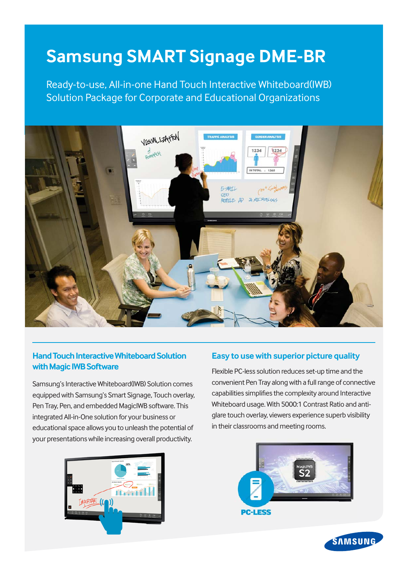## **Samsung SMART Signage DME-BR**

Ready-to-use, All-in-one Hand Touch Interactive Whiteboard(IWB) Solution Package for Corporate and Educational Organizations



## **Hand Touch Interactive Whiteboard Solution with Magic IWB Software**

Samsung's Interactive Whiteboard(IWB) Solution comes equipped with Samsung's Smart Signage, Touch overlay, Pen Tray, Pen, and embedded MagicIWB software. This integrated All-in-One solution for your business or educational space allows you to unleash the potential of your presentations while increasing overall productivity.



## **Easy to use with superior picture quality**

Flexible PC-less solution reduces set-up time and the convenient Pen Tray along with a full range of connective capabilities simplifies the complexity around Interactive Whiteboard usage. With 5000:1 Contrast Ratio and antiglare touch overlay, viewers experience superb visibility in their classrooms and meeting rooms.